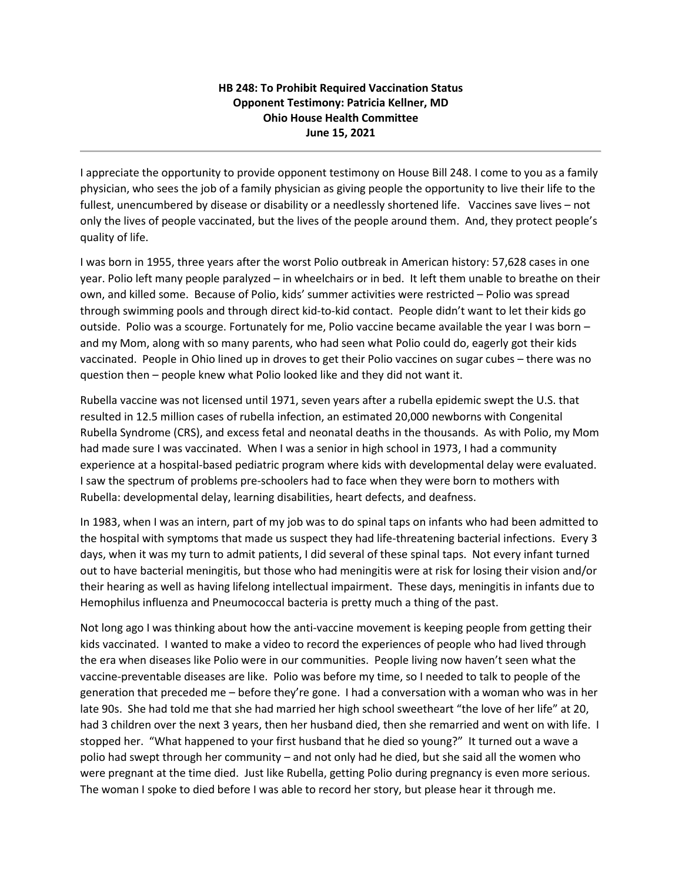## **HB 248: To Prohibit Required Vaccination Status Opponent Testimony: Patricia Kellner, MD Ohio House Health Committee June 15, 2021**

I appreciate the opportunity to provide opponent testimony on House Bill 248. I come to you as a family physician, who sees the job of a family physician as giving people the opportunity to live their life to the fullest, unencumbered by disease or disability or a needlessly shortened life. Vaccines save lives – not only the lives of people vaccinated, but the lives of the people around them. And, they protect people's quality of life.

I was born in 1955, three years after the worst Polio outbreak in American history: 57,628 cases in one year. Polio left many people paralyzed – in wheelchairs or in bed. It left them unable to breathe on their own, and killed some. Because of Polio, kids' summer activities were restricted – Polio was spread through swimming pools and through direct kid-to-kid contact. People didn't want to let their kids go outside. Polio was a scourge. Fortunately for me, Polio vaccine became available the year I was born – and my Mom, along with so many parents, who had seen what Polio could do, eagerly got their kids vaccinated. People in Ohio lined up in droves to get their Polio vaccines on sugar cubes – there was no question then – people knew what Polio looked like and they did not want it.

Rubella vaccine was not licensed until 1971, seven years after a rubella epidemic swept the U.S. that resulted in 12.5 million cases of rubella infection, an estimated 20,000 newborns with Congenital Rubella Syndrome (CRS), and excess fetal and neonatal deaths in the thousands. As with Polio, my Mom had made sure I was vaccinated. When I was a senior in high school in 1973, I had a community experience at a hospital-based pediatric program where kids with developmental delay were evaluated. I saw the spectrum of problems pre-schoolers had to face when they were born to mothers with Rubella: developmental delay, learning disabilities, heart defects, and deafness.

In 1983, when I was an intern, part of my job was to do spinal taps on infants who had been admitted to the hospital with symptoms that made us suspect they had life-threatening bacterial infections. Every 3 days, when it was my turn to admit patients, I did several of these spinal taps. Not every infant turned out to have bacterial meningitis, but those who had meningitis were at risk for losing their vision and/or their hearing as well as having lifelong intellectual impairment. These days, meningitis in infants due to Hemophilus influenza and Pneumococcal bacteria is pretty much a thing of the past.

Not long ago I was thinking about how the anti-vaccine movement is keeping people from getting their kids vaccinated. I wanted to make a video to record the experiences of people who had lived through the era when diseases like Polio were in our communities. People living now haven't seen what the vaccine-preventable diseases are like. Polio was before my time, so I needed to talk to people of the generation that preceded me – before they're gone. I had a conversation with a woman who was in her late 90s. She had told me that she had married her high school sweetheart "the love of her life" at 20, had 3 children over the next 3 years, then her husband died, then she remarried and went on with life. I stopped her. "What happened to your first husband that he died so young?" It turned out a wave a polio had swept through her community – and not only had he died, but she said all the women who were pregnant at the time died. Just like Rubella, getting Polio during pregnancy is even more serious. The woman I spoke to died before I was able to record her story, but please hear it through me.